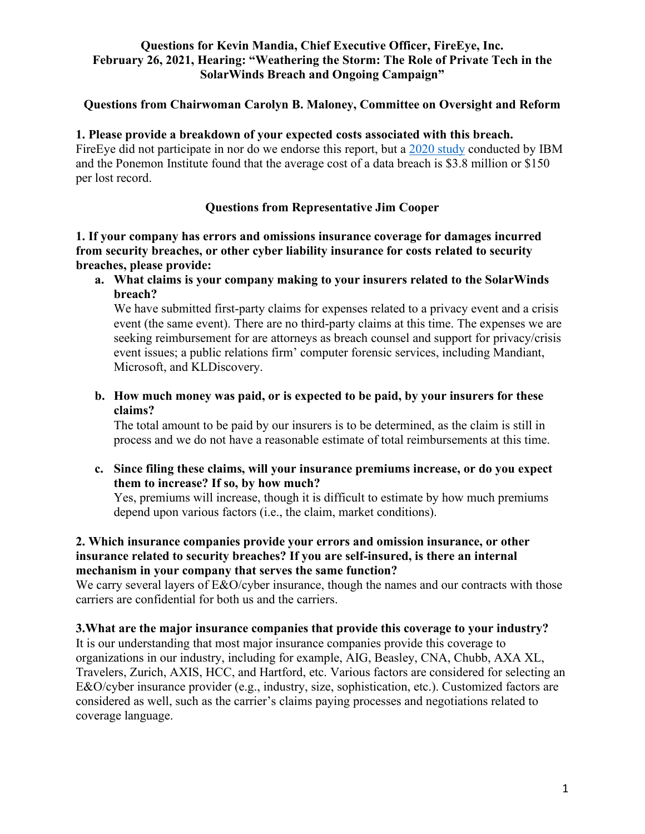#### **Questions for Kevin Mandia, Chief Executive Officer, FireEye, Inc. February 26, 2021, Hearing: "Weathering the Storm: The Role of Private Tech in the SolarWinds Breach and Ongoing Campaign"**

## **Questions from Chairwoman Carolyn B. Maloney, Committee on Oversight and Reform**

## **1. Please provide a breakdown of your expected costs associated with this breach.**

FireEye did not participate in nor do we endorse this report, but a [2020 study](https://www.ibm.com/security/data-breach) conducted by IBM and the Ponemon Institute found that the average cost of a data breach is \$3.8 million or \$150 per lost record.

# **Questions from Representative Jim Cooper**

**1. If your company has errors and omissions insurance coverage for damages incurred from security breaches, or other cyber liability insurance for costs related to security breaches, please provide:**

**a. What claims is your company making to your insurers related to the SolarWinds breach?**

We have submitted first-party claims for expenses related to a privacy event and a crisis event (the same event). There are no third-party claims at this time. The expenses we are seeking reimbursement for are attorneys as breach counsel and support for privacy/crisis event issues; a public relations firm' computer forensic services, including Mandiant, Microsoft, and KLDiscovery.

**b. How much money was paid, or is expected to be paid, by your insurers for these claims?**

The total amount to be paid by our insurers is to be determined, as the claim is still in process and we do not have a reasonable estimate of total reimbursements at this time.

**c. Since filing these claims, will your insurance premiums increase, or do you expect them to increase? If so, by how much?**

Yes, premiums will increase, though it is difficult to estimate by how much premiums depend upon various factors (i.e., the claim, market conditions).

#### **2. Which insurance companies provide your errors and omission insurance, or other insurance related to security breaches? If you are self-insured, is there an internal mechanism in your company that serves the same function?**

We carry several layers of E&O/cyber insurance, though the names and our contracts with those carriers are confidential for both us and the carriers.

## **3.What are the major insurance companies that provide this coverage to your industry?**

It is our understanding that most major insurance companies provide this coverage to organizations in our industry, including for example, AIG, Beasley, CNA, Chubb, AXA XL, Travelers, Zurich, AXIS, HCC, and Hartford, etc. Various factors are considered for selecting an E&O/cyber insurance provider (e.g., industry, size, sophistication, etc.). Customized factors are considered as well, such as the carrier's claims paying processes and negotiations related to coverage language.